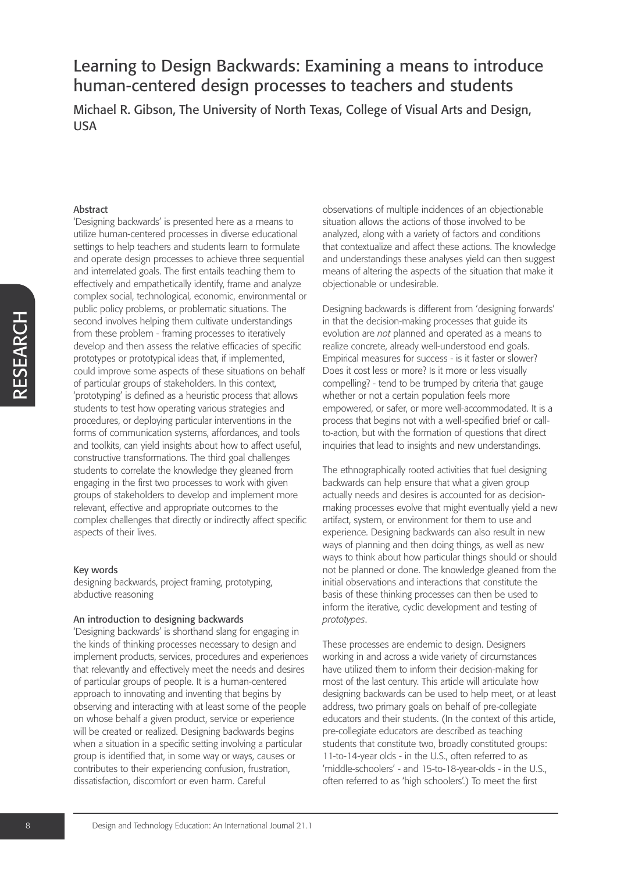Michael R. Gibson, The University of North Texas, College of Visual Arts and Design, USA

#### Abstract

'Designing backwards' is presented here as a means to utilize human-centered processes in diverse educational settings to help teachers and students learn to formulate and operate design processes to achieve three sequential and interrelated goals. The first entails teaching them to effectively and empathetically identify, frame and analyze complex social, technological, economic, environmental or public policy problems, or problematic situations. The second involves helping them cultivate understandings from these problem - framing processes to iteratively develop and then assess the relative efficacies of specific prototypes or prototypical ideas that, if implemented, could improve some aspects of these situations on behalf of particular groups of stakeholders. In this context, 'prototyping' is defined as a heuristic process that allows students to test how operating various strategies and procedures, or deploying particular interventions in the forms of communication systems, affordances, and tools and toolkits, can yield insights about how to affect useful, constructive transformations. The third goal challenges students to correlate the knowledge they gleaned from engaging in the first two processes to work with given groups of stakeholders to develop and implement more relevant, effective and appropriate outcomes to the complex challenges that directly or indirectly affect specific aspects of their lives.

#### Key words

designing backwards, project framing, prototyping, abductive reasoning

#### An introduction to designing backwards

'Designing backwards' is shorthand slang for engaging in the kinds of thinking processes necessary to design and implement products, services, procedures and experiences that relevantly and effectively meet the needs and desires of particular groups of people. It is a human-centered approach to innovating and inventing that begins by observing and interacting with at least some of the people on whose behalf a given product, service or experience will be created or realized. Designing backwards begins when a situation in a specific setting involving a particular group is identified that, in some way or ways, causes or contributes to their experiencing confusion, frustration, dissatisfaction, discomfort or even harm. Careful

observations of multiple incidences of an objectionable situation allows the actions of those involved to be analyzed, along with a variety of factors and conditions that contextualize and affect these actions. The knowledge and understandings these analyses yield can then suggest means of altering the aspects of the situation that make it objectionable or undesirable.

Designing backwards is different from 'designing forwards' in that the decision-making processes that guide its evolution are *not* planned and operated as a means to realize concrete, already well-understood end goals. Empirical measures for success - is it faster or slower? Does it cost less or more? Is it more or less visually compelling? - tend to be trumped by criteria that gauge whether or not a certain population feels more empowered, or safer, or more well-accommodated. It is a process that begins not with a well-specified brief or callto-action, but with the formation of questions that direct inquiries that lead to insights and new understandings.

The ethnographically rooted activities that fuel designing backwards can help ensure that what a given group actually needs and desires is accounted for as decisionmaking processes evolve that might eventually yield a new artifact, system, or environment for them to use and experience. Designing backwards can also result in new ways of planning and then doing things, as well as new ways to think about how particular things should or should not be planned or done. The knowledge gleaned from the initial observations and interactions that constitute the basis of these thinking processes can then be used to inform the iterative, cyclic development and testing of *prototypes*.

These processes are endemic to design. Designers working in and across a wide variety of circumstances have utilized them to inform their decision-making for most of the last century. This article will articulate how designing backwards can be used to help meet, or at least address, two primary goals on behalf of pre-collegiate educators and their students. (In the context of this article, pre-collegiate educators are described as teaching students that constitute two, broadly constituted groups: 11-to-14-year olds - in the U.S., often referred to as 'middle-schoolers' - and 15-to-18-year-olds - in the U.S., often referred to as 'high schoolers'.) To meet the first

H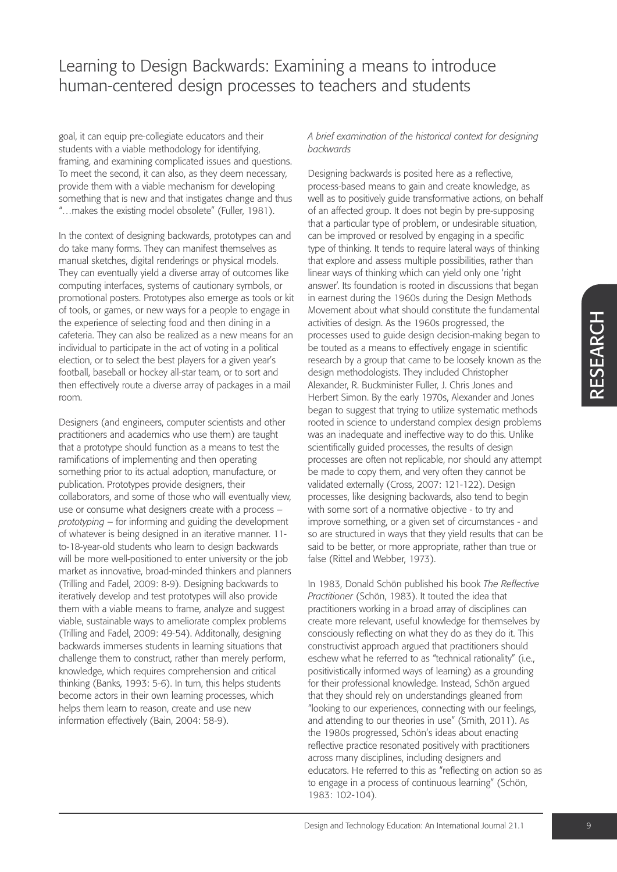goal, it can equip pre-collegiate educators and their students with a viable methodology for identifying, framing, and examining complicated issues and questions. To meet the second, it can also, as they deem necessary, provide them with a viable mechanism for developing something that is new and that instigates change and thus "…makes the existing model obsolete" (Fuller, 1981).

In the context of designing backwards, prototypes can and do take many forms. They can manifest themselves as manual sketches, digital renderings or physical models. They can eventually yield a diverse array of outcomes like computing interfaces, systems of cautionary symbols, or promotional posters. Prototypes also emerge as tools or kit of tools, or games, or new ways for a people to engage in the experience of selecting food and then dining in a cafeteria. They can also be realized as a new means for an individual to participate in the act of voting in a political election, or to select the best players for a given year's football, baseball or hockey all-star team, or to sort and then effectively route a diverse array of packages in a mail room.

Designers (and engineers, computer scientists and other practitioners and academics who use them) are taught that a prototype should function as a means to test the ramifications of implementing and then operating something prior to its actual adoption, manufacture, or publication. Prototypes provide designers, their collaborators, and some of those who will eventually view, use or consume what designers create with a process – *prototyping* – for informing and guiding the development of whatever is being designed in an iterative manner. 11 to-18-year-old students who learn to design backwards will be more well-positioned to enter university or the job market as innovative, broad-minded thinkers and planners (Trilling and Fadel, 2009: 8-9). Designing backwards to iteratively develop and test prototypes will also provide them with a viable means to frame, analyze and suggest viable, sustainable ways to ameliorate complex problems (Trilling and Fadel, 2009: 49-54). Additonally, designing backwards immerses students in learning situations that challenge them to construct, rather than merely perform, knowledge, which requires comprehension and critical thinking (Banks, 1993: 5-6). In turn, this helps students become actors in their own learning processes, which helps them learn to reason, create and use new information effectively (Bain, 2004: 58-9).

*A brief examination of the historical context for designing backwards*

Designing backwards is posited here as a reflective, process-based means to gain and create knowledge, as well as to positively guide transformative actions, on behalf of an affected group. It does not begin by pre-supposing that a particular type of problem, or undesirable situation, can be improved or resolved by engaging in a specific type of thinking. It tends to require lateral ways of thinking that explore and assess multiple possibilities, rather than linear ways of thinking which can yield only one 'right answer'. Its foundation is rooted in discussions that began in earnest during the 1960s during the Design Methods Movement about what should constitute the fundamental activities of design. As the 1960s progressed, the processes used to guide design decision-making began to be touted as a means to effectively engage in scientific research by a group that came to be loosely known as the design methodologists. They included Christopher Alexander, R. Buckminister Fuller, J. Chris Jones and Herbert Simon. By the early 1970s, Alexander and Jones began to suggest that trying to utilize systematic methods rooted in science to understand complex design problems was an inadequate and ineffective way to do this. Unlike scientifically guided processes, the results of design processes are often not replicable, nor should any attempt be made to copy them, and very often they cannot be validated externally (Cross, 2007: 121-122). Design processes, like designing backwards, also tend to begin with some sort of a normative objective - to try and improve something, or a given set of circumstances - and so are structured in ways that they yield results that can be said to be better, or more appropriate, rather than true or false (Rittel and Webber, 1973).

In 1983, Donald Schön published his book *The Reflective Practitioner* (Schön, 1983). It touted the idea that practitioners working in a broad array of disciplines can create more relevant, useful knowledge for themselves by consciously reflecting on what they do as they do it. This constructivist approach argued that practitioners should eschew what he referred to as "technical rationality" (i.e., positivistically informed ways of learning) as a grounding for their professional knowledge. Instead, Schön argued that they should rely on understandings gleaned from "looking to our experiences, connecting with our feelings, and attending to our theories in use" (Smith, 2011). As the 1980s progressed, Schön's ideas about enacting reflective practice resonated positively with practitioners across many disciplines, including designers and educators. He referred to this as "reflecting on action so as to engage in a process of continuous learning" (Schön, 1983: 102-104).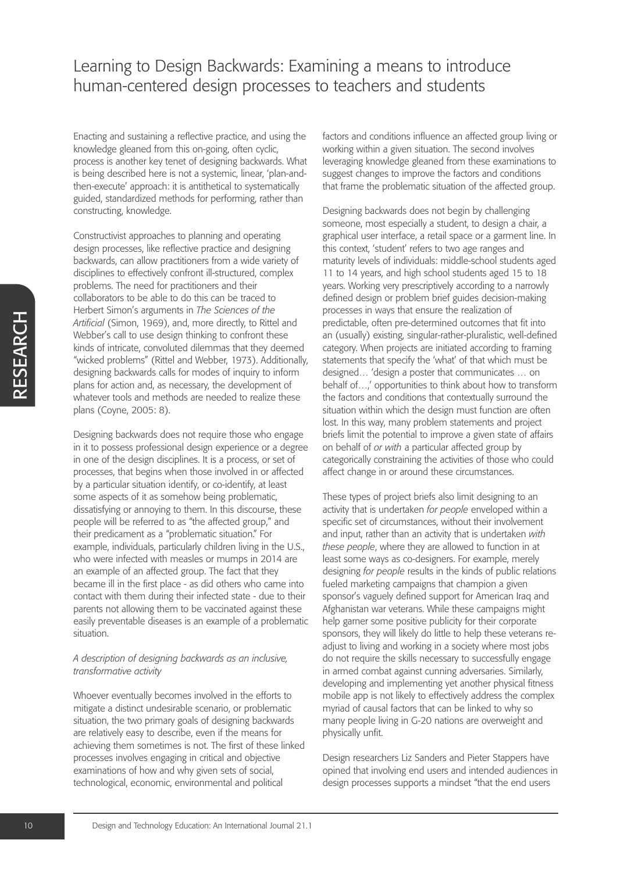Enacting and sustaining a reflective practice, and using the knowledge gleaned from this on-going, often cyclic, process is another key tenet of designing backwards. What is being described here is not a systemic, linear, 'plan-andthen-execute' approach: it is antithetical to systematically guided, standardized methods for performing, rather than constructing, knowledge.

Constructivist approaches to planning and operating design processes, like reflective practice and designing backwards, can allow practitioners from a wide variety of disciplines to effectively confront ill-structured, complex problems. The need for practitioners and their collaborators to be able to do this can be traced to Herbert Simon's arguments in *The Sciences of the Artificial* (Simon, 1969), and, more directly, to Rittel and Webber's call to use design thinking to confront these kinds of intricate, convoluted dilemmas that they deemed "wicked problems" (Rittel and Webber, 1973). Additionally, designing backwards calls for modes of inquiry to inform plans for action and, as necessary, the development of whatever tools and methods are needed to realize these plans (Coyne, 2005: 8).

Designing backwards does not require those who engage in it to possess professional design experience or a degree in one of the design disciplines. It is a process, or set of processes, that begins when those involved in or affected by a particular situation identify, or co-identify, at least some aspects of it as somehow being problematic, dissatisfying or annoying to them. In this discourse, these people will be referred to as "the affected group," and their predicament as a "problematic situation." For example, individuals, particularly children living in the U.S., who were infected with measles or mumps in 2014 are an example of an affected group. The fact that they became ill in the first place - as did others who came into contact with them during their infected state - due to their parents not allowing them to be vaccinated against these easily preventable diseases is an example of a problematic situation.

#### *A description of designing backwards as an inclusive, transformative activity*

Whoever eventually becomes involved in the efforts to mitigate a distinct undesirable scenario, or problematic situation, the two primary goals of designing backwards are relatively easy to describe, even if the means for achieving them sometimes is not. The first of these linked processes involves engaging in critical and objective examinations of how and why given sets of social, technological, economic, environmental and political

factors and conditions influence an affected group living or working within a given situation. The second involves leveraging knowledge gleaned from these examinations to suggest changes to improve the factors and conditions that frame the problematic situation of the affected group.

Designing backwards does not begin by challenging someone, most especially a student, to design a chair, a graphical user interface, a retail space or a garment line. In this context, 'student' refers to two age ranges and maturity levels of individuals: middle-school students aged 11 to 14 years, and high school students aged 15 to 18 years. Working very prescriptively according to a narrowly defined design or problem brief guides decision-making processes in ways that ensure the realization of predictable, often pre-determined outcomes that fit into an (usually) existing, singular-rather-pluralistic, well-defined category. When projects are initiated according to framing statements that specify the 'what' of that which must be designed… 'design a poster that communicates … on behalf of…,' opportunities to think about how to transform the factors and conditions that contextually surround the situation within which the design must function are often lost. In this way, many problem statements and project briefs limit the potential to improve a given state of affairs on behalf of *or with* a particular affected group by categorically constraining the activities of those who could affect change in or around these circumstances.

These types of project briefs also limit designing to an activity that is undertaken *for people* enveloped within a specific set of circumstances, without their involvement and input, rather than an activity that is undertaken *with these people*, where they are allowed to function in at least some ways as co-designers. For example, merely designing *for people* results in the kinds of public relations fueled marketing campaigns that champion a given sponsor's vaguely defined support for American Iraq and Afghanistan war veterans. While these campaigns might help garner some positive publicity for their corporate sponsors, they will likely do little to help these veterans readjust to living and working in a society where most jobs do not require the skills necessary to successfully engage in armed combat against cunning adversaries. Similarly, developing and implementing yet another physical fitness mobile app is not likely to effectively address the complex myriad of causal factors that can be linked to why so many people living in G-20 nations are overweight and physically unfit.

Design researchers Liz Sanders and Pieter Stappers have opined that involving end users and intended audiences in design processes supports a mindset "that the end users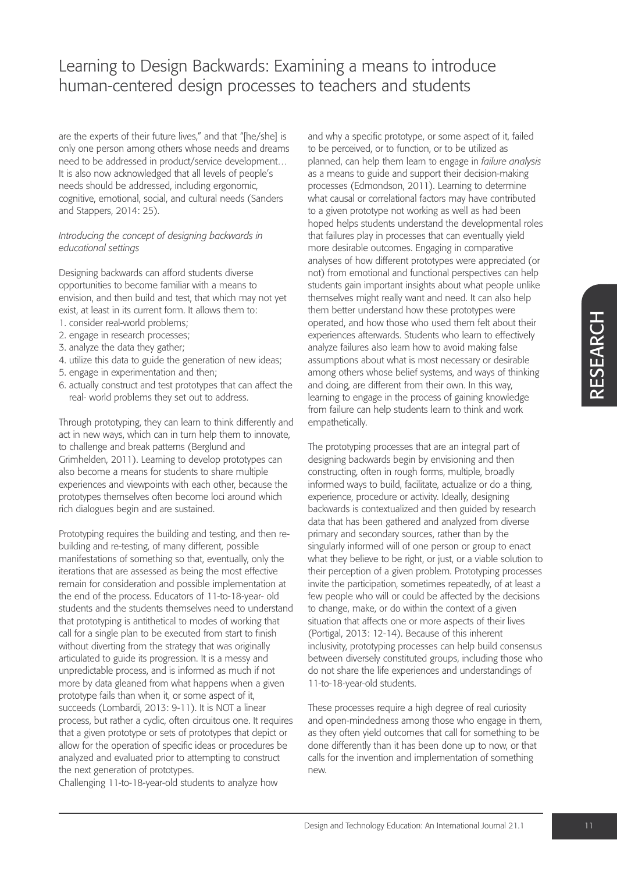are the experts of their future lives," and that "[he/she] is only one person among others whose needs and dreams need to be addressed in product/service development… It is also now acknowledged that all levels of people's needs should be addressed, including ergonomic, cognitive, emotional, social, and cultural needs (Sanders and Stappers, 2014: 25).

#### *Introducing the concept of designing backwards in educational settings*

Designing backwards can afford students diverse opportunities to become familiar with a means to envision, and then build and test, that which may not yet exist, at least in its current form. It allows them to:

- 1. consider real-world problems;
- 2. engage in research processes;
- 3. analyze the data they gather;
- 4. utilize this data to guide the generation of new ideas;
- 5. engage in experimentation and then;
- 6. actually construct and test prototypes that can affect the real- world problems they set out to address.

Through prototyping, they can learn to think differently and act in new ways, which can in turn help them to innovate, to challenge and break patterns (Berglund and Grimhelden, 2011). Learning to develop prototypes can also become a means for students to share multiple experiences and viewpoints with each other, because the prototypes themselves often become loci around which rich dialogues begin and are sustained.

Prototyping requires the building and testing, and then rebuilding and re-testing, of many different, possible manifestations of something so that, eventually, only the iterations that are assessed as being the most effective remain for consideration and possible implementation at the end of the process. Educators of 11-to-18-year- old students and the students themselves need to understand that prototyping is antithetical to modes of working that call for a single plan to be executed from start to finish without diverting from the strategy that was originally articulated to guide its progression. It is a messy and unpredictable process, and is informed as much if not more by data gleaned from what happens when a given prototype fails than when it, or some aspect of it, succeeds (Lombardi, 2013: 9-11). It is NOT a linear process, but rather a cyclic, often circuitous one. It requires that a given prototype or sets of prototypes that depict or allow for the operation of specific ideas or procedures be analyzed and evaluated prior to attempting to construct the next generation of prototypes.

Challenging 11-to-18-year-old students to analyze how

and why a specific prototype, or some aspect of it, failed to be perceived, or to function, or to be utilized as planned, can help them learn to engage in *failure analysis* as a means to guide and support their decision-making processes (Edmondson, 2011). Learning to determine what causal or correlational factors may have contributed to a given prototype not working as well as had been hoped helps students understand the developmental roles that failures play in processes that can eventually yield more desirable outcomes. Engaging in comparative analyses of how different prototypes were appreciated (or not) from emotional and functional perspectives can help students gain important insights about what people unlike themselves might really want and need. It can also help them better understand how these prototypes were operated, and how those who used them felt about their experiences afterwards. Students who learn to effectively analyze failures also learn how to avoid making false assumptions about what is most necessary or desirable among others whose belief systems, and ways of thinking and doing, are different from their own. In this way, learning to engage in the process of gaining knowledge from failure can help students learn to think and work empathetically.

The prototyping processes that are an integral part of designing backwards begin by envisioning and then constructing, often in rough forms, multiple, broadly informed ways to build, facilitate, actualize or do a thing, experience, procedure or activity. Ideally, designing backwards is contextualized and then guided by research data that has been gathered and analyzed from diverse primary and secondary sources, rather than by the singularly informed will of one person or group to enact what they believe to be right, or just, or a viable solution to their perception of a given problem. Prototyping processes invite the participation, sometimes repeatedly, of at least a few people who will or could be affected by the decisions to change, make, or do within the context of a given situation that affects one or more aspects of their lives (Portigal, 2013: 12-14). Because of this inherent inclusivity, prototyping processes can help build consensus between diversely constituted groups, including those who do not share the life experiences and understandings of 11-to-18-year-old students.

These processes require a high degree of real curiosity and open-mindedness among those who engage in them, as they often yield outcomes that call for something to be done differently than it has been done up to now, or that calls for the invention and implementation of something new.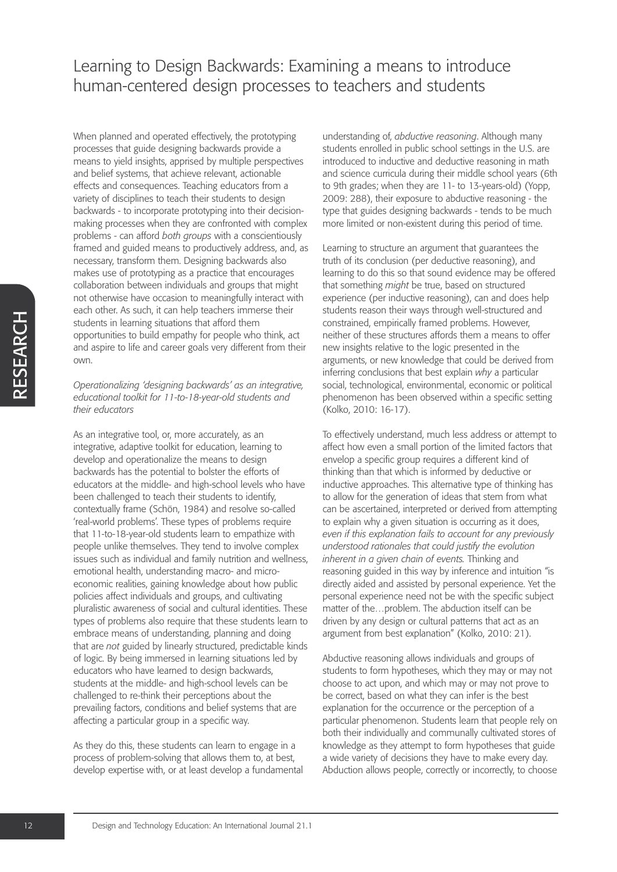When planned and operated effectively, the prototyping processes that guide designing backwards provide a means to yield insights, apprised by multiple perspectives and belief systems, that achieve relevant, actionable effects and consequences. Teaching educators from a variety of disciplines to teach their students to design backwards - to incorporate prototyping into their decisionmaking processes when they are confronted with complex problems - can afford *both groups* with a conscientiously framed and guided means to productively address, and, as necessary, transform them. Designing backwards also makes use of prototyping as a practice that encourages collaboration between individuals and groups that might not otherwise have occasion to meaningfully interact with each other. As such, it can help teachers immerse their students in learning situations that afford them opportunities to build empathy for people who think, act and aspire to life and career goals very different from their own.

*Operationalizing 'designing backwards' as an integrative, educational toolkit for 11-to-18-year-old students and their educators*

As an integrative tool, or, more accurately, as an integrative, adaptive toolkit for education, learning to develop and operationalize the means to design backwards has the potential to bolster the efforts of educators at the middle- and high-school levels who have been challenged to teach their students to identify, contextually frame (Schön, 1984) and resolve so-called 'real-world problems'. These types of problems require that 11-to-18-year-old students learn to empathize with people unlike themselves. They tend to involve complex issues such as individual and family nutrition and wellness, emotional health, understanding macro- and microeconomic realities, gaining knowledge about how public policies affect individuals and groups, and cultivating pluralistic awareness of social and cultural identities. These types of problems also require that these students learn to embrace means of understanding, planning and doing that are *not* guided by linearly structured, predictable kinds of logic. By being immersed in learning situations led by educators who have learned to design backwards, students at the middle- and high-school levels can be challenged to re-think their perceptions about the prevailing factors, conditions and belief systems that are affecting a particular group in a specific way.

As they do this, these students can learn to engage in a process of problem-solving that allows them to, at best, develop expertise with, or at least develop a fundamental understanding of, *abductive reasoning*. Although many students enrolled in public school settings in the U.S. are introduced to inductive and deductive reasoning in math and science curricula during their middle school years (6th to 9th grades; when they are 11- to 13-years-old) (Yopp, 2009: 288), their exposure to abductive reasoning - the type that guides designing backwards - tends to be much more limited or non-existent during this period of time.

Learning to structure an argument that guarantees the truth of its conclusion (per deductive reasoning), and learning to do this so that sound evidence may be offered that something *might* be true, based on structured experience (per inductive reasoning), can and does help students reason their ways through well-structured and constrained, empirically framed problems. However, neither of these structures affords them a means to offer new insights relative to the logic presented in the arguments, or new knowledge that could be derived from inferring conclusions that best explain *why* a particular social, technological, environmental, economic or political phenomenon has been observed within a specific setting (Kolko, 2010: 16-17).

To effectively understand, much less address or attempt to affect how even a small portion of the limited factors that envelop a specific group requires a different kind of thinking than that which is informed by deductive or inductive approaches. This alternative type of thinking has to allow for the generation of ideas that stem from what can be ascertained, interpreted or derived from attempting to explain why a given situation is occurring as it does, *even if this explanation fails to account for any previously understood rationales that could justify the evolution inherent in a given chain of events.* Thinking and reasoning guided in this way by inference and intuition "is directly aided and assisted by personal experience. Yet the personal experience need not be with the specific subject matter of the…problem. The abduction itself can be driven by any design or cultural patterns that act as an argument from best explanation" (Kolko, 2010: 21).

Abductive reasoning allows individuals and groups of students to form hypotheses, which they may or may not choose to act upon, and which may or may not prove to be correct, based on what they can infer is the best explanation for the occurrence or the perception of a particular phenomenon. Students learn that people rely on both their individually and communally cultivated stores of knowledge as they attempt to form hypotheses that guide a wide variety of decisions they have to make every day. Abduction allows people, correctly or incorrectly, to choose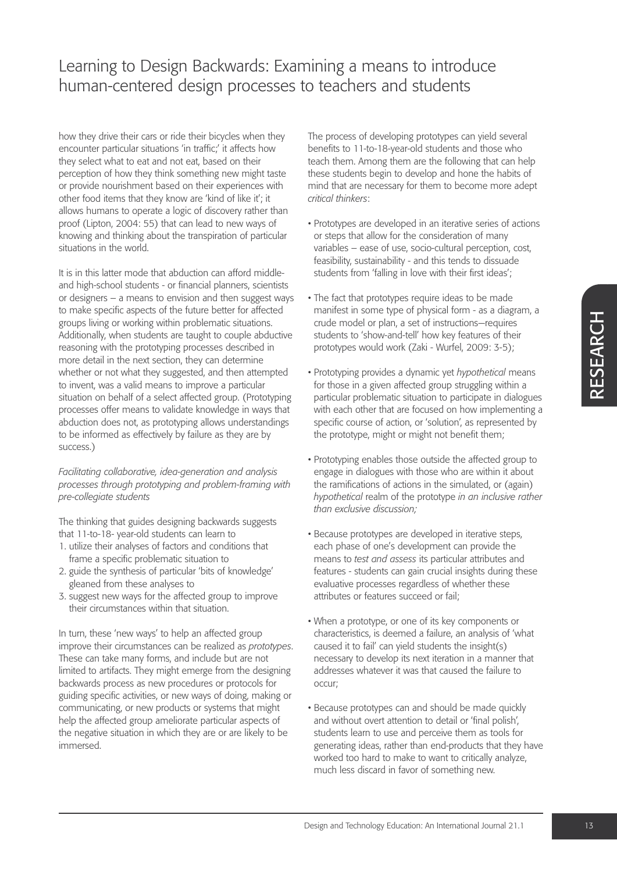how they drive their cars or ride their bicycles when they encounter particular situations 'in traffic;' it affects how they select what to eat and not eat, based on their perception of how they think something new might taste or provide nourishment based on their experiences with other food items that they know are 'kind of like it'; it allows humans to operate a logic of discovery rather than proof (Lipton, 2004: 55) that can lead to new ways of knowing and thinking about the transpiration of particular situations in the world.

It is in this latter mode that abduction can afford middleand high-school students - or financial planners, scientists or designers – a means to envision and then suggest ways to make specific aspects of the future better for affected groups living or working within problematic situations. Additionally, when students are taught to couple abductive reasoning with the prototyping processes described in more detail in the next section, they can determine whether or not what they suggested, and then attempted to invent, was a valid means to improve a particular situation on behalf of a select affected group. (Prototyping processes offer means to validate knowledge in ways that abduction does not, as prototyping allows understandings to be informed as effectively by failure as they are by success.)

*Facilitating collaborative, idea-generation and analysis processes through prototyping and problem-framing with pre-collegiate students*

The thinking that guides designing backwards suggests that 11-to-18- year-old students can learn to

- 1. utilize their analyses of factors and conditions that frame a specific problematic situation to
- 2. guide the synthesis of particular 'bits of knowledge' gleaned from these analyses to
- 3. suggest new ways for the affected group to improve their circumstances within that situation.

In turn, these 'new ways' to help an affected group improve their circumstances can be realized as *prototypes*. These can take many forms, and include but are not limited to artifacts. They might emerge from the designing backwards process as new procedures or protocols for guiding specific activities, or new ways of doing, making or communicating, or new products or systems that might help the affected group ameliorate particular aspects of the negative situation in which they are or are likely to be immersed.

The process of developing prototypes can yield several benefits to 11-to-18-year-old students and those who teach them. Among them are the following that can help these students begin to develop and hone the habits of mind that are necessary for them to become more adept *critical thinkers*:

- Prototypes are developed in an iterative series of actions or steps that allow for the consideration of many variables – ease of use, socio-cultural perception, cost, feasibility, sustainability - and this tends to dissuade students from 'falling in love with their first ideas';
- The fact that prototypes require ideas to be made manifest in some type of physical form - as a diagram, a crude model or plan, a set of instructions—requires students to 'show-and-tell' how key features of their prototypes would work (Zaki - Wurfel, 2009: 3-5);
- Prototyping provides a dynamic yet *hypothetical* means for those in a given affected group struggling within a particular problematic situation to participate in dialogues with each other that are focused on how implementing a specific course of action, or 'solution', as represented by the prototype, might or might not benefit them;
- Prototyping enables those outside the affected group to engage in dialogues with those who are within it about the ramifications of actions in the simulated, or (again) *hypothetical* realm of the prototype *in an inclusive rather than exclusive discussion;*
- Because prototypes are developed in iterative steps, each phase of one's development can provide the means to *test and assess* its particular attributes and features - students can gain crucial insights during these evaluative processes regardless of whether these attributes or features succeed or fail;
- When a prototype, or one of its key components or characteristics, is deemed a failure, an analysis of 'what caused it to fail' can yield students the insight(s) necessary to develop its next iteration in a manner that addresses whatever it was that caused the failure to occur;
- Because prototypes can and should be made quickly and without overt attention to detail or 'final polish', students learn to use and perceive them as tools for generating ideas, rather than end-products that they have worked too hard to make to want to critically analyze. much less discard in favor of something new.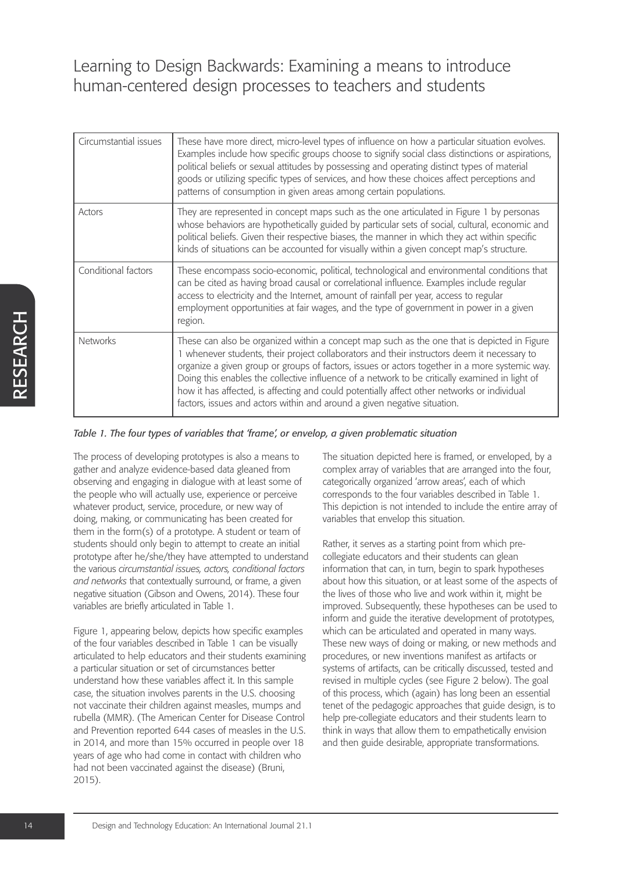| Circumstantial issues | These have more direct, micro-level types of influence on how a particular situation evolves.<br>Examples include how specific groups choose to signify social class distinctions or aspirations,<br>political beliefs or sexual attitudes by possessing and operating distinct types of material<br>goods or utilizing specific types of services, and how these choices affect perceptions and<br>patterns of consumption in given areas among certain populations.                                                                                                     |
|-----------------------|---------------------------------------------------------------------------------------------------------------------------------------------------------------------------------------------------------------------------------------------------------------------------------------------------------------------------------------------------------------------------------------------------------------------------------------------------------------------------------------------------------------------------------------------------------------------------|
| Actors                | They are represented in concept maps such as the one articulated in Figure 1 by personas<br>whose behaviors are hypothetically guided by particular sets of social, cultural, economic and<br>political beliefs. Given their respective biases, the manner in which they act within specific<br>kinds of situations can be accounted for visually within a given concept map's structure.                                                                                                                                                                                 |
| Conditional factors   | These encompass socio-economic, political, technological and environmental conditions that<br>can be cited as having broad causal or correlational influence. Examples include regular<br>access to electricity and the Internet, amount of rainfall per year, access to regular<br>employment opportunities at fair wages, and the type of government in power in a given<br>region.                                                                                                                                                                                     |
| <b>Networks</b>       | These can also be organized within a concept map such as the one that is depicted in Figure<br>1 whenever students, their project collaborators and their instructors deem it necessary to<br>organize a given group or groups of factors, issues or actors together in a more systemic way.<br>Doing this enables the collective influence of a network to be critically examined in light of<br>how it has affected, is affecting and could potentially affect other networks or individual<br>factors, issues and actors within and around a given negative situation. |

### *Table 1. The four types of variables that 'frame', or envelop, a given problematic situation*

The process of developing prototypes is also a means to gather and analyze evidence-based data gleaned from observing and engaging in dialogue with at least some of the people who will actually use, experience or perceive whatever product, service, procedure, or new way of doing, making, or communicating has been created for them in the form(s) of a prototype. A student or team of students should only begin to attempt to create an initial prototype after he/she/they have attempted to understand the various *circumstantial issues, actors, conditional factors and networks* that contextually surround, or frame, a given negative situation (Gibson and Owens, 2014). These four variables are briefly articulated in Table 1.

Figure 1, appearing below, depicts how specific examples of the four variables described in Table 1 can be visually articulated to help educators and their students examining a particular situation or set of circumstances better understand how these variables affect it. In this sample case, the situation involves parents in the U.S. choosing not vaccinate their children against measles, mumps and rubella (MMR). (The American Center for Disease Control and Prevention reported 644 cases of measles in the U.S. in 2014, and more than 15% occurred in people over 18 years of age who had come in contact with children who had not been vaccinated against the disease) (Bruni, 2015).

The situation depicted here is framed, or enveloped, by a complex array of variables that are arranged into the four, categorically organized 'arrow areas', each of which corresponds to the four variables described in Table 1. This depiction is not intended to include the entire array of variables that envelop this situation.

Rather, it serves as a starting point from which precollegiate educators and their students can glean information that can, in turn, begin to spark hypotheses about how this situation, or at least some of the aspects of the lives of those who live and work within it, might be improved. Subsequently, these hypotheses can be used to inform and guide the iterative development of prototypes, which can be articulated and operated in many ways. These new ways of doing or making, or new methods and procedures, or new inventions manifest as artifacts or systems of artifacts, can be critically discussed, tested and revised in multiple cycles (see Figure 2 below). The goal of this process, which (again) has long been an essential tenet of the pedagogic approaches that guide design, is to help pre-collegiate educators and their students learn to think in ways that allow them to empathetically envision and then guide desirable, appropriate transformations.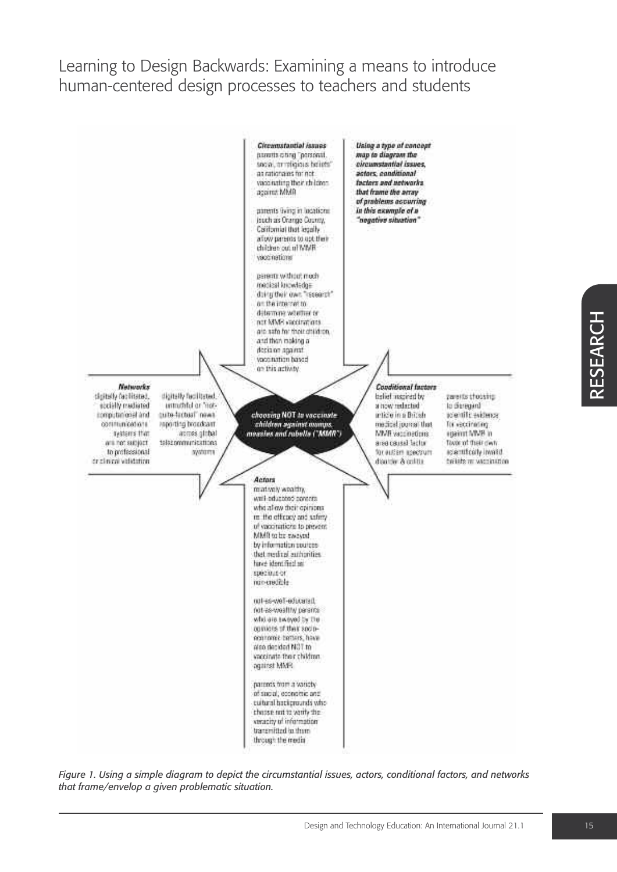

*Figure 1. Using a simple diagram to depict the circumstantial issues, actors, conditional factors, and networks that frame/envelop a given problematic situation.*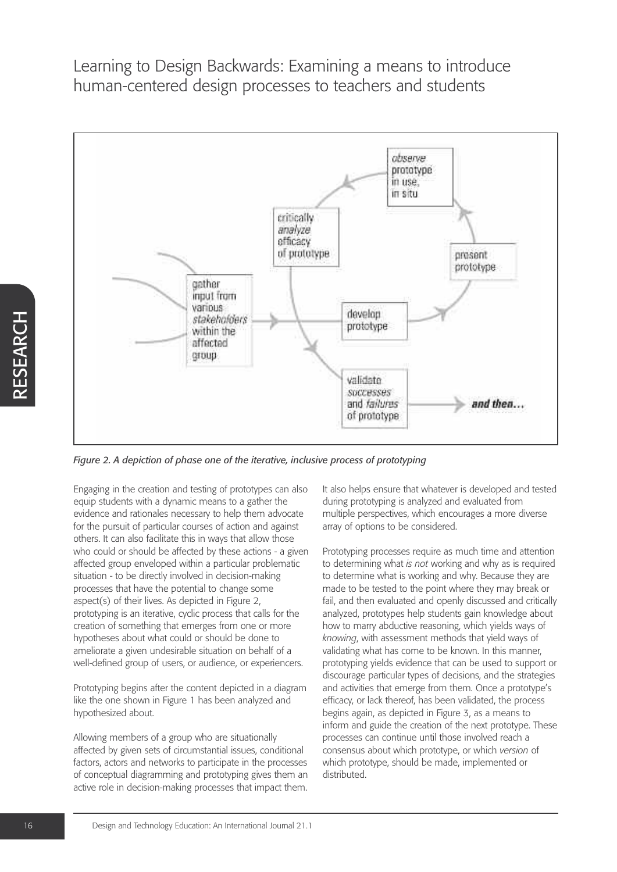

*Figure 2. A depiction of phase one of the iterative, inclusive process of prototyping*

Engaging in the creation and testing of prototypes can also equip students with a dynamic means to a gather the evidence and rationales necessary to help them advocate for the pursuit of particular courses of action and against others. It can also facilitate this in ways that allow those who could or should be affected by these actions - a given affected group enveloped within a particular problematic situation - to be directly involved in decision-making processes that have the potential to change some aspect(s) of their lives. As depicted in Figure 2, prototyping is an iterative, cyclic process that calls for the creation of something that emerges from one or more hypotheses about what could or should be done to ameliorate a given undesirable situation on behalf of a well-defined group of users, or audience, or experiencers.

Prototyping begins after the content depicted in a diagram like the one shown in Figure 1 has been analyzed and hypothesized about.

Allowing members of a group who are situationally affected by given sets of circumstantial issues, conditional factors, actors and networks to participate in the processes of conceptual diagramming and prototyping gives them an active role in decision-making processes that impact them.

It also helps ensure that whatever is developed and tested during prototyping is analyzed and evaluated from multiple perspectives, which encourages a more diverse array of options to be considered.

Prototyping processes require as much time and attention to determining what *is not* working and why as is required to determine what is working and why. Because they are made to be tested to the point where they may break or fail, and then evaluated and openly discussed and critically analyzed, prototypes help students gain knowledge about how to marry abductive reasoning, which yields ways of *knowing*, with assessment methods that yield ways of validating what has come to be known. In this manner, prototyping yields evidence that can be used to support or discourage particular types of decisions, and the strategies and activities that emerge from them. Once a prototype's efficacy, or lack thereof, has been validated, the process begins again, as depicted in Figure 3, as a means to inform and guide the creation of the next prototype. These processes can continue until those involved reach a consensus about which prototype, or which *version* of which prototype, should be made, implemented or distributed.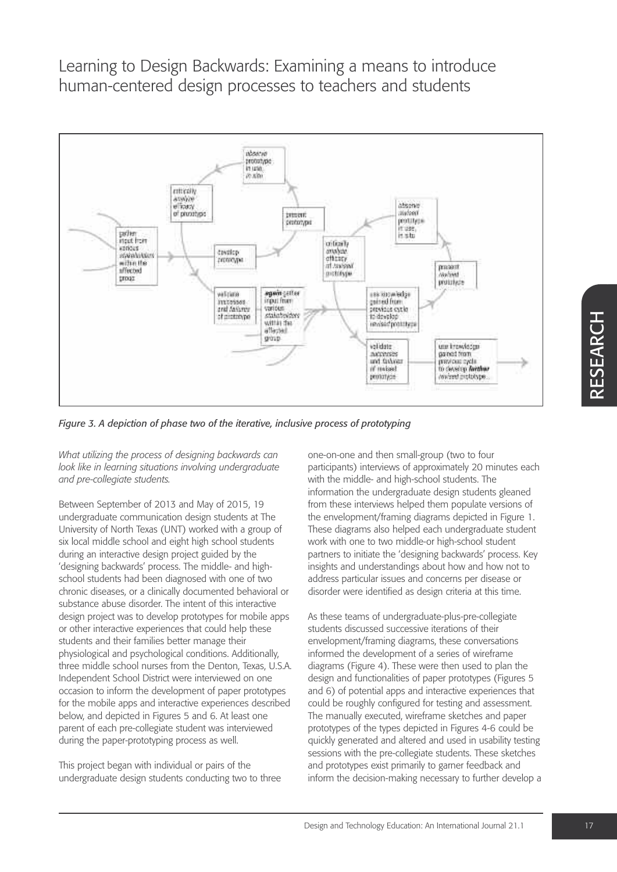

*Figure 3. A depiction of phase two of the iterative, inclusive process of prototyping*

*What utilizing the process of designing backwards can look like in learning situations involving undergraduate and pre-collegiate students.*

Between September of 2013 and May of 2015, 19 undergraduate communication design students at The University of North Texas (UNT) worked with a group of six local middle school and eight high school students during an interactive design project guided by the 'designing backwards' process. The middle- and highschool students had been diagnosed with one of two chronic diseases, or a clinically documented behavioral or substance abuse disorder. The intent of this interactive design project was to develop prototypes for mobile apps or other interactive experiences that could help these students and their families better manage their physiological and psychological conditions. Additionally, three middle school nurses from the Denton, Texas, U.S.A. Independent School District were interviewed on one occasion to inform the development of paper prototypes for the mobile apps and interactive experiences described below, and depicted in Figures 5 and 6. At least one parent of each pre-collegiate student was interviewed during the paper-prototyping process as well.

This project began with individual or pairs of the undergraduate design students conducting two to three one-on-one and then small-group (two to four participants) interviews of approximately 20 minutes each with the middle- and high-school students. The information the undergraduate design students gleaned from these interviews helped them populate versions of the envelopment/framing diagrams depicted in Figure 1. These diagrams also helped each undergraduate student work with one to two middle-or high-school student partners to initiate the 'designing backwards' process. Key insights and understandings about how and how not to address particular issues and concerns per disease or disorder were identified as design criteria at this time.

As these teams of undergraduate-plus-pre-collegiate students discussed successive iterations of their envelopment/framing diagrams, these conversations informed the development of a series of wireframe diagrams (Figure 4). These were then used to plan the design and functionalities of paper prototypes (Figures 5 and 6) of potential apps and interactive experiences that could be roughly configured for testing and assessment. The manually executed, wireframe sketches and paper prototypes of the types depicted in Figures 4-6 could be quickly generated and altered and used in usability testing sessions with the pre-collegiate students. These sketches and prototypes exist primarily to garner feedback and inform the decision-making necessary to further develop a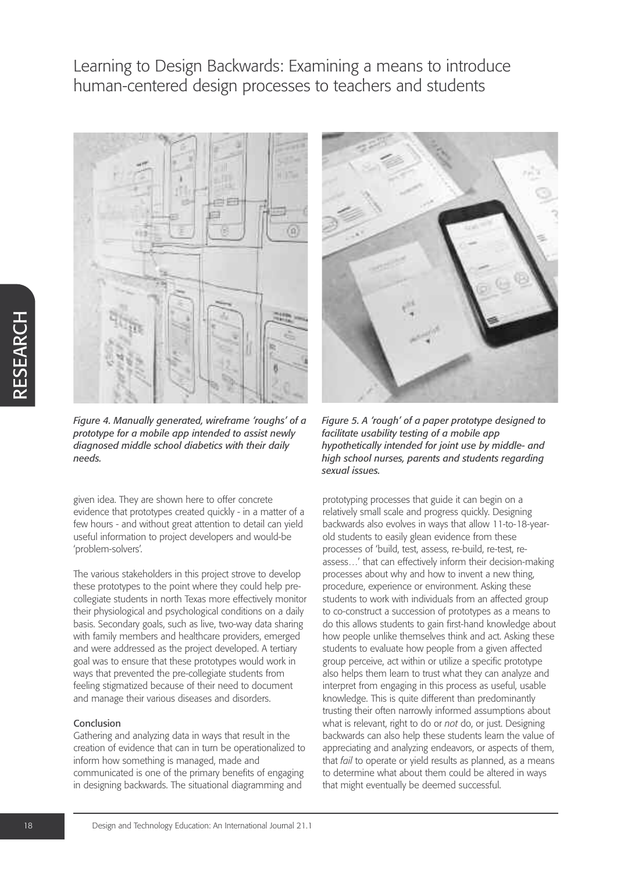

*Figure 4. Manually generated, wireframe 'roughs' of a prototype for a mobile app intended to assist newly diagnosed middle school diabetics with their daily needs.*

given idea. They are shown here to offer concrete evidence that prototypes created quickly - in a matter of a few hours - and without great attention to detail can yield useful information to project developers and would-be 'problem-solvers'.

The various stakeholders in this project strove to develop these prototypes to the point where they could help precollegiate students in north Texas more effectively monitor their physiological and psychological conditions on a daily basis. Secondary goals, such as live, two-way data sharing with family members and healthcare providers, emerged and were addressed as the project developed. A tertiary goal was to ensure that these prototypes would work in ways that prevented the pre-collegiate students from feeling stigmatized because of their need to document and manage their various diseases and disorders.

#### Conclusion

Gathering and analyzing data in ways that result in the creation of evidence that can in turn be operationalized to inform how something is managed, made and communicated is one of the primary benefits of engaging in designing backwards. The situational diagramming and



*Figure 5. A 'rough' of a paper prototype designed to facilitate usability testing of a mobile app hypothetically intended for joint use by middle- and high school nurses, parents and students regarding sexual issues.*

prototyping processes that guide it can begin on a relatively small scale and progress quickly. Designing backwards also evolves in ways that allow 11-to-18-yearold students to easily glean evidence from these processes of 'build, test, assess, re-build, re-test, reassess…' that can effectively inform their decision-making processes about why and how to invent a new thing, procedure, experience or environment. Asking these students to work with individuals from an affected group to co-construct a succession of prototypes as a means to do this allows students to gain first-hand knowledge about how people unlike themselves think and act. Asking these students to evaluate how people from a given affected group perceive, act within or utilize a specific prototype also helps them learn to trust what they can analyze and interpret from engaging in this process as useful, usable knowledge. This is quite different than predominantly trusting their often narrowly informed assumptions about what is relevant, right to do or *not* do, or just. Designing backwards can also help these students learn the value of appreciating and analyzing endeavors, or aspects of them, that *fail* to operate or yield results as planned, as a means to determine what about them could be altered in ways that might eventually be deemed successful.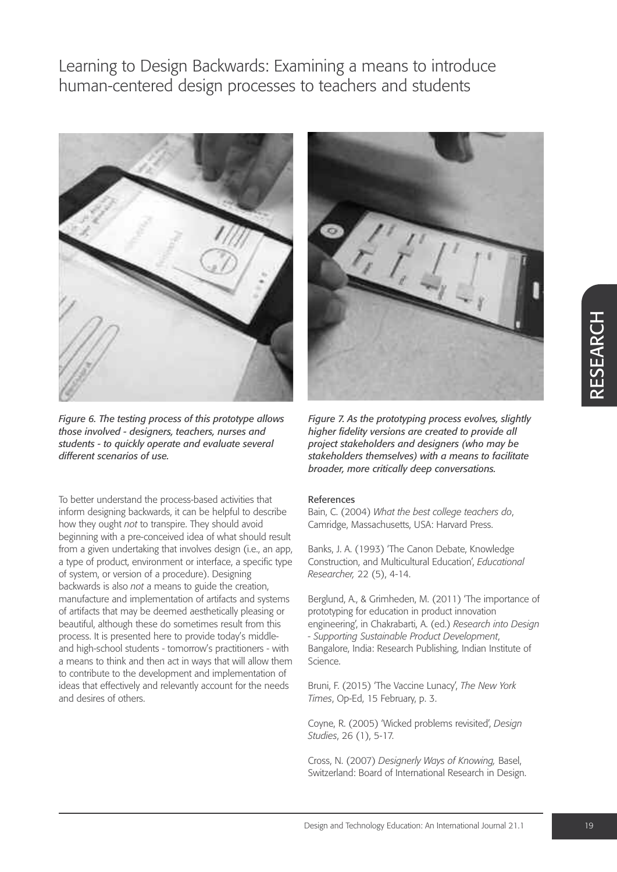

*Figure 6. The testing process of this prototype allows those involved - designers, teachers, nurses and students - to quickly operate and evaluate several different scenarios of use.*

To better understand the process-based activities that inform designing backwards, it can be helpful to describe how they ought *not* to transpire. They should avoid beginning with a pre-conceived idea of what should result from a given undertaking that involves design (i.e., an app, a type of product, environment or interface, a specific type of system, or version of a procedure). Designing backwards is also *not* a means to guide the creation, manufacture and implementation of artifacts and systems of artifacts that may be deemed aesthetically pleasing or beautiful, although these do sometimes result from this process. It is presented here to provide today's middleand high-school students - tomorrow's practitioners - with a means to think and then act in ways that will allow them to contribute to the development and implementation of ideas that effectively and relevantly account for the needs and desires of others.



*Figure 7. As the prototyping process evolves, slightly higher fidelity versions are created to provide all project stakeholders and designers (who may be stakeholders themselves) with a means to facilitate broader, more critically deep conversations.*

#### References

Bain, C. (2004) *What the best college teachers do*, Camridge, Massachusetts, USA: Harvard Press.

Banks, J. A. (1993) 'The Canon Debate, Knowledge Construction, and Multicultural Education', *Educational Researcher,* 22 (5), 4-14.

Berglund, A., & Grimheden, M. (2011) 'The importance of prototyping for education in product innovation engineering', in Chakrabarti, A. (ed.) *Research into Design - Supporting Sustainable Product Development*, Bangalore, India: Research Publishing, Indian Institute of Science.

Bruni, F. (2015) 'The Vaccine Lunacy', *The New York Times*, Op-Ed, 15 February, p. 3.

Coyne, R. (2005) 'Wicked problems revisited', *Design Studies*, 26 (1), 5-17.

Cross, N. (2007) *Designerly Ways of Knowing,* Basel, Switzerland: Board of International Research in Design.